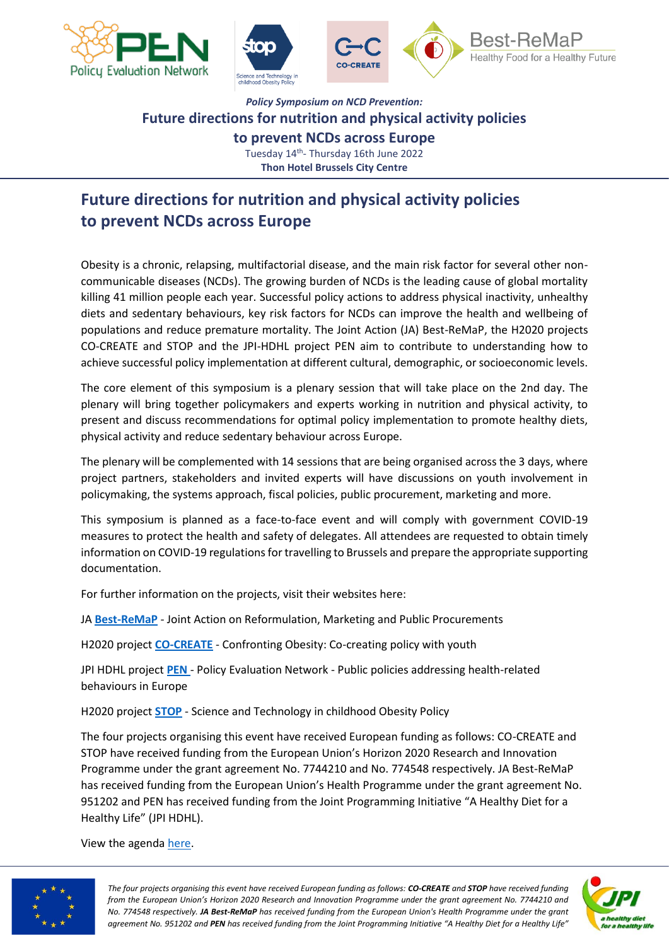







## *Policy Symposium on NCD Prevention:* **Future directions for nutrition and physical activity policies to prevent NCDs across Europe**

Tuesday 14<sup>th</sup>- Thursday 16th June 2022 **Thon Hotel Brussels City Centre**

# **Future directions for nutrition and physical activity policies to prevent NCDs across Europe**

Obesity is a chronic, relapsing, multifactorial disease, and the main risk factor for several other noncommunicable diseases (NCDs). The growing burden of NCDs is the leading cause of global mortality killing 41 million people each year. Successful policy actions to address physical inactivity, unhealthy diets and sedentary behaviours, key risk factors for NCDs can improve the health and wellbeing of populations and reduce premature mortality. The Joint Action (JA) Best-ReMaP, the H2020 projects CO-CREATE and STOP and the JPI-HDHL project PEN aim to contribute to understanding how to achieve successful policy implementation at different cultural, demographic, or socioeconomic levels.

The core element of this symposium is a plenary session that will take place on the 2nd day. The plenary will bring together policymakers and experts working in nutrition and physical activity, to present and discuss recommendations for optimal policy implementation to promote healthy diets, physical activity and reduce sedentary behaviour across Europe.

The plenary will be complemented with 14 sessions that are being organised across the 3 days, where project partners, stakeholders and invited experts will have discussions on youth involvement in policymaking, the systems approach, fiscal policies, public procurement, marketing and more.

This symposium is planned as a face-to-face event and will comply with government COVID-19 measures to protect the health and safety of delegates. All attendees are requested to obtain timely information on COVID-19 regulations for travelling to Brussels and prepare the appropriate supporting documentation.

For further information on the projects, visit their websites here:

JA **[Best-ReMaP](https://bestremap.eu/)** - Joint Action on Reformulation, Marketing and Public Procurements

H2020 project **[CO-CREATE](https://www.fhi.no/en/studies/co-create/)** - Confronting Obesity: Co-creating policy with youth

JPI HDHL project **[PEN](https://www.jpi-pen.eu/)** - Policy Evaluation Network - Public policies addressing health-related behaviours in Europe

H2020 project **[STOP](https://www.stopchildobesity.eu/)** - Science and Technology in childhood Obesity Policy

The four projects organising this event have received European funding as follows: CO-CREATE and STOP have received funding from the European Union's Horizon 2020 Research and Innovation Programme under the grant agreement No. 7744210 and No. 774548 respectively. JA Best-ReMaP has received funding from the European Union's Health Programme under the grant agreement No. 951202 and PEN has received funding from the Joint Programming Initiative "A Healthy Diet for a Healthy Life" (JPI HDHL).

View the agenda [here.](https://www.minervacomms.net/wp-content/uploads/2022/06/Policy-Symposium-on-NCD-Prevention-Agenda.pdf)



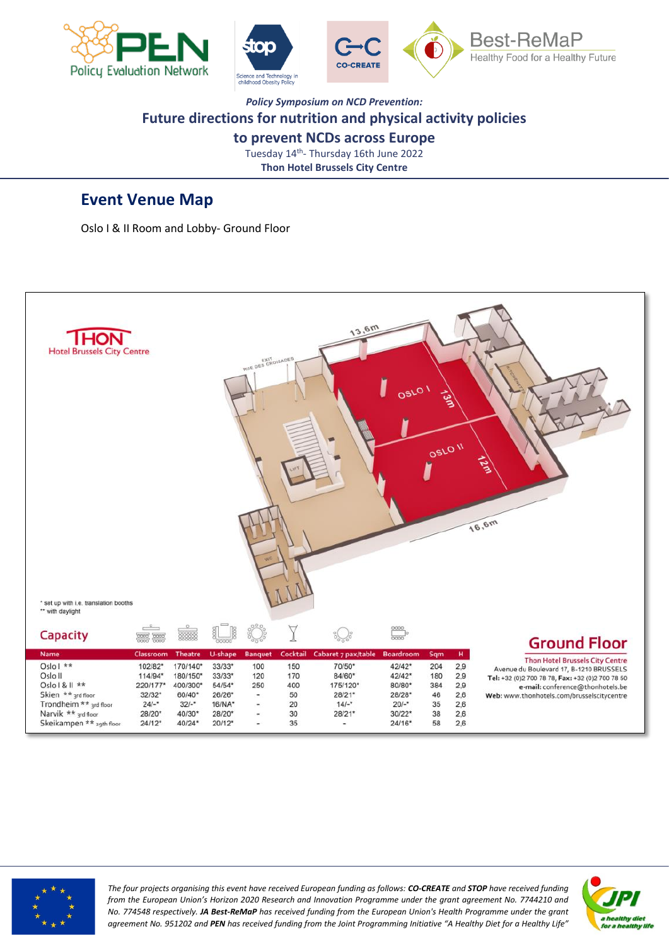



#### *Policy Symposium on NCD Prevention:* **Future directions for nutrition and physical activity policies to prevent NCDs across Europe**

Tuesday 14<sup>th</sup>- Thursday 16th June 2022 **Thon Hotel Brussels City Centre**

### **Event Venue Map**

Oslo I & II Room and Lobby- Ground Floor





*The four projects organising this event have received European funding as follows: CO-CREATE and STOP have received funding from the European Union's Horizon 2020 Research and Innovation Programme under the grant agreement No. 7744210 and No. 774548 respectively. JA Best-ReMaP has received funding from the European Union's Health Programme under the grant agreement No. 951202 and PEN has received funding from the Joint Programming Initiative "A Healthy Diet for a Healthy Life"*